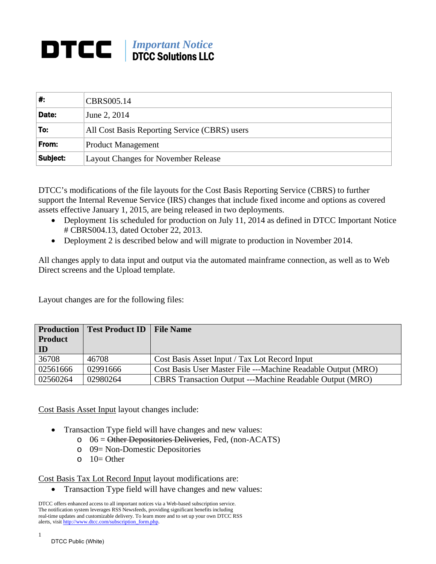## *Important Notice* DTCC Solutions LLC

| ∦:       | CBRS005.14                                    |  |
|----------|-----------------------------------------------|--|
| Date:    | June 2, 2014                                  |  |
| 'To:     | All Cost Basis Reporting Service (CBRS) users |  |
| From:    | <b>Product Management</b>                     |  |
| Subject: | <b>Layout Changes for November Release</b>    |  |

DTCC's modifications of the file layouts for the Cost Basis Reporting Service (CBRS) to further support the Internal Revenue Service (IRS) changes that include fixed income and options as covered assets effective January 1, 2015, are being released in two deployments.

- Deployment 1 is scheduled for production on July 11, 2014 as defined in DTCC Important Notice # CBRS004.13, dated October 22, 2013.
- Deployment 2 is described below and will migrate to production in November 2014.

All changes apply to data input and output via the automated mainframe connection, as well as to Web Direct screens and the Upload template.

Layout changes are for the following files:

| <b>Production</b> | <b>Test Product ID</b> | <b>File Name</b>                                                |
|-------------------|------------------------|-----------------------------------------------------------------|
| Product           |                        |                                                                 |
| ID                |                        |                                                                 |
| 36708             | 46708                  | Cost Basis Asset Input / Tax Lot Record Input                   |
| 02561666          | 02991666               | Cost Basis User Master File ---Machine Readable Output (MRO)    |
| 02560264          | 02980264               | <b>CBRS</b> Transaction Output ---Machine Readable Output (MRO) |

Cost Basis Asset Input layout changes include:

- Transaction Type field will have changes and new values:
	- $\circ$  06 = Other Depositories Deliveries, Fed, (non-ACATS)
	- o 09= Non-Domestic Depositories
	- $O = 10=$  Other

Cost Basis Tax Lot Record Input layout modifications are:

• Transaction Type field will have changes and new values:

DTCC offers enhanced access to all important notices via a Web-based subscription service. The notification system leverages RSS Newsfeeds, providing significant benefits including real-time updates and customizable delivery. To learn more and to set up your own DTCC RSS alerts, visit [http://www.dtcc.com/subscription\\_form.php.](http://www.dtcc.com/subscription_form.php)

1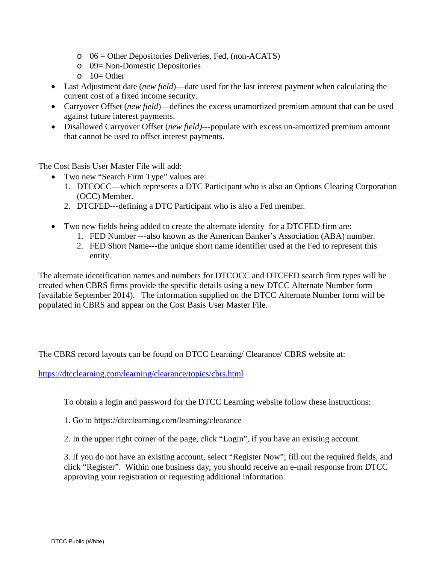- $\circ$  06 = Other Depositories Deliveries, Fed. (non-ACATS)
- o 09= Non-Domestic Depositories
- $O = 10$  Other
- Last Adjustment date (*new field*)—date used for the last interest payment when calculating the current cost of a fixed income security.
- Carryover Offset (*new field*)—defines the excess unamortized premium amount that can be used against future interest payments.
- Disallowed Carryover Offset (*new field)*---populate with excess un-amortized premium amount that cannot be used to offset interest payments.

The Cost Basis User Master File will add:

- Two new "Search Firm Type" values are:
	- 1. DTCOCC—which represents a DTC Participant who is also an Options Clearing Corporation (OCC) Member.
	- 2. DTCFED---defining a DTC Participant who is also a Fed member.
- Two new fields being added to create the alternate identity for a DTCFED firm are:
	- 1. FED Number ---also known as the American Banker's Association (ABA) number.
	- 2. FED Short Name---the unique short name identifier used at the Fed to represent this entity.

The alternate identification names and numbers for DTCOCC and DTCFED search firm types will be created when CBRS firms provide the specific details using a new DTCC Alternate Number form (available September 2014). The information supplied on the DTCC Alternate Number form will be populated in CBRS and appear on the Cost Basis User Master File.

The CBRS record layouts can be found on DTCC Learning/ Clearance/ CBRS website at:

<https://dtcclearning.com/learning/clearance/topics/cbrs.html>

To obtain a login and password for the DTCC Learning website follow these instructions:

- 1. Go to https://dtcclearning.com/learning/clearance
- 2. In the upper right corner of the page, click "Login", if you have an existing account.

3. If you do not have an existing account, select "Register Now"; fill out the required fields, and click "Register". Within one business day, you should receive an e-mail response from DTCC approving your registration or requesting additional information.